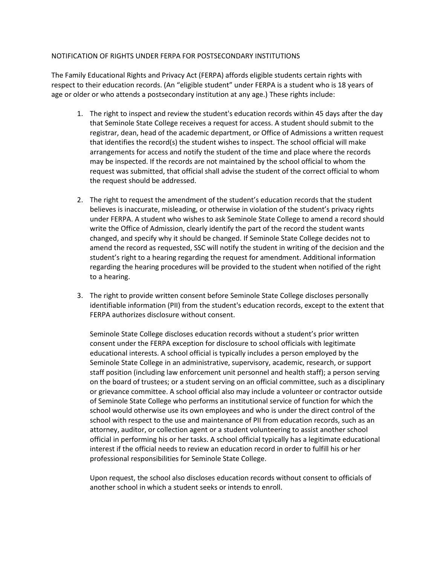## NOTIFICATION OF RIGHTS UNDER FERPA FOR POSTSECONDARY INSTITUTIONS

The Family Educational Rights and Privacy Act (FERPA) affords eligible students certain rights with respect to their education records. (An "eligible student" under FERPA is a student who is 18 years of age or older or who attends a postsecondary institution at any age.) These rights include:

- 1. The right to inspect and review the student's education records within 45 days after the day that Seminole State College receives a request for access. A student should submit to the registrar, dean, head of the academic department, or Office of Admissions a written request that identifies the record(s) the student wishes to inspect. The school official will make arrangements for access and notify the student of the time and place where the records may be inspected. If the records are not maintained by the school official to whom the request was submitted, that official shall advise the student of the correct official to whom the request should be addressed.
- 2. The right to request the amendment of the student's education records that the student believes is inaccurate, misleading, or otherwise in violation of the student's privacy rights under FERPA. A student who wishes to ask Seminole State College to amend a record should write the Office of Admission, clearly identify the part of the record the student wants changed, and specify why it should be changed. If Seminole State College decides not to amend the record as requested, SSC will notify the student in writing of the decision and the student's right to a hearing regarding the request for amendment. Additional information regarding the hearing procedures will be provided to the student when notified of the right to a hearing.
- 3. The right to provide written consent before Seminole State College discloses personally identifiable information (PII) from the student's education records, except to the extent that FERPA authorizes disclosure without consent.

Seminole State College discloses education records without a student's prior written consent under the FERPA exception for disclosure to school officials with legitimate educational interests. A school official is typically includes a person employed by the Seminole State College in an administrative, supervisory, academic, research, or support staff position (including law enforcement unit personnel and health staff); a person serving on the board of trustees; or a student serving on an official committee, such as a disciplinary or grievance committee. A school official also may include a volunteer or contractor outside of Seminole State College who performs an institutional service of function for which the school would otherwise use its own employees and who is under the direct control of the school with respect to the use and maintenance of PII from education records, such as an attorney, auditor, or collection agent or a student volunteering to assist another school official in performing his or her tasks. A school official typically has a legitimate educational interest if the official needs to review an education record in order to fulfill his or her professional responsibilities for Seminole State College.

Upon request, the school also discloses education records without consent to officials of another school in which a student seeks or intends to enroll.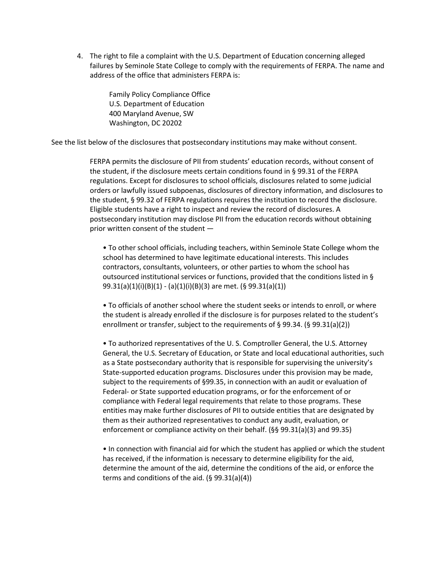4. The right to file a complaint with the U.S. Department of Education concerning alleged failures by Seminole State College to comply with the requirements of FERPA. The name and address of the office that administers FERPA is:

> Family Policy Compliance Office U.S. Department of Education 400 Maryland Avenue, SW Washington, DC 20202

See the list below of the disclosures that postsecondary institutions may make without consent.

FERPA permits the disclosure of PII from students' education records, without consent of the student, if the disclosure meets certain conditions found in § 99.31 of the FERPA regulations. Except for disclosures to school officials, disclosures related to some judicial orders or lawfully issued subpoenas, disclosures of directory information, and disclosures to the student, § 99.32 of FERPA regulations requires the institution to record the disclosure. Eligible students have a right to inspect and review the record of disclosures. A postsecondary institution may disclose PII from the education records without obtaining prior written consent of the student —

• To other school officials, including teachers, within Seminole State College whom the school has determined to have legitimate educational interests. This includes contractors, consultants, volunteers, or other parties to whom the school has outsourced institutional services or functions, provided that the conditions listed in § 99.31(a)(1)(i)(B)(1) - (a)(1)(i)(B)(3) are met. (§ 99.31(a)(1))

• To officials of another school where the student seeks or intends to enroll, or where the student is already enrolled if the disclosure is for purposes related to the student's enrollment or transfer, subject to the requirements of § 99.34. (§ 99.31(a)(2))

• To authorized representatives of the U. S. Comptroller General, the U.S. Attorney General, the U.S. Secretary of Education, or State and local educational authorities, such as a State postsecondary authority that is responsible for supervising the university's State-supported education programs. Disclosures under this provision may be made, subject to the requirements of §99.35, in connection with an audit or evaluation of Federal- or State supported education programs, or for the enforcement of or compliance with Federal legal requirements that relate to those programs. These entities may make further disclosures of PII to outside entities that are designated by them as their authorized representatives to conduct any audit, evaluation, or enforcement or compliance activity on their behalf. (§§ 99.31(a)(3) and 99.35)

• In connection with financial aid for which the student has applied or which the student has received, if the information is necessary to determine eligibility for the aid, determine the amount of the aid, determine the conditions of the aid, or enforce the terms and conditions of the aid. (§ 99.31(a)(4))